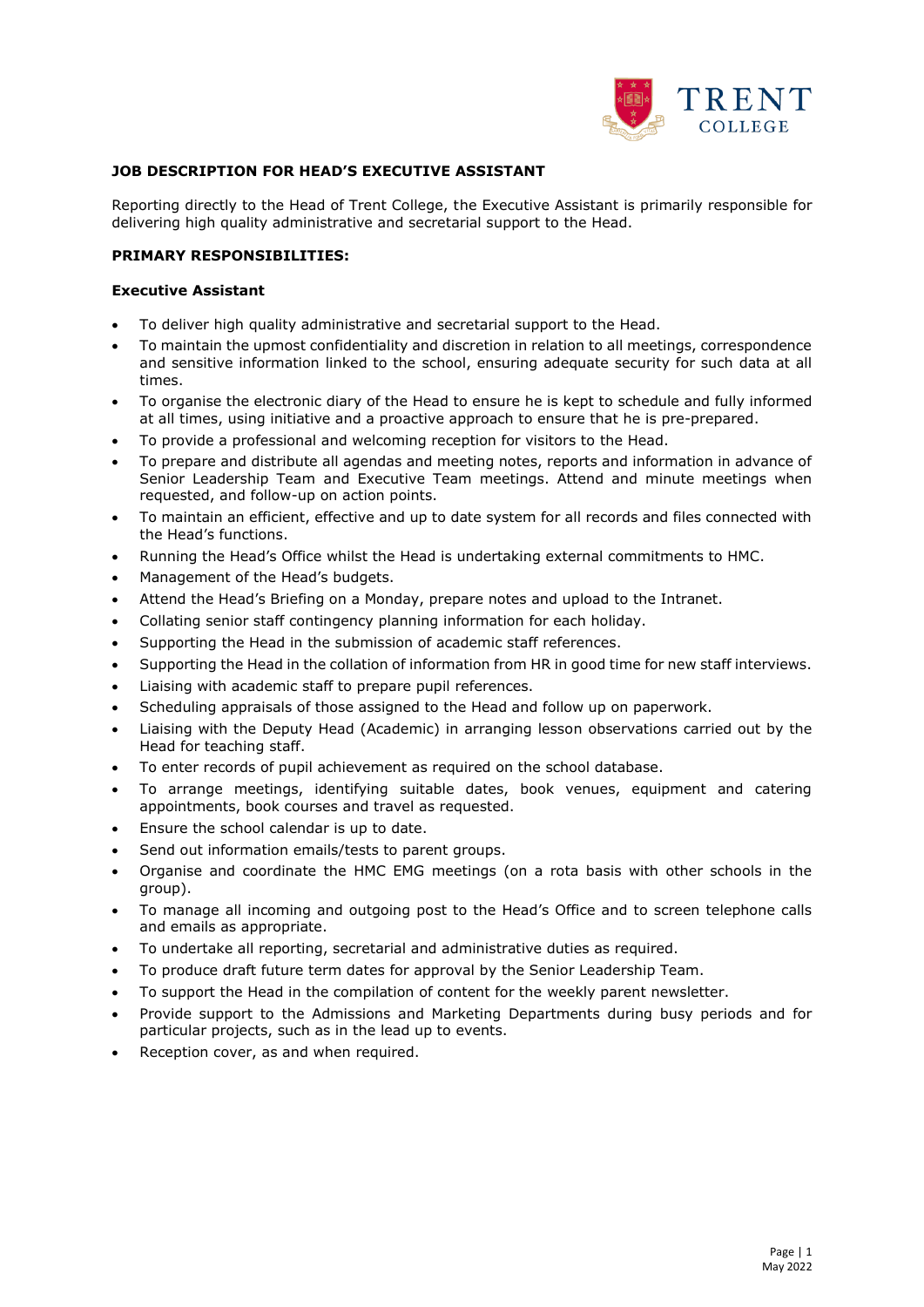

#### **JOB DESCRIPTION FOR HEAD'S EXECUTIVE ASSISTANT**

Reporting directly to the Head of Trent College, the Executive Assistant is primarily responsible for delivering high quality administrative and secretarial support to the Head.

#### **PRIMARY RESPONSIBILITIES:**

#### **Executive Assistant**

- To deliver high quality administrative and secretarial support to the Head.
- To maintain the upmost confidentiality and discretion in relation to all meetings, correspondence and sensitive information linked to the school, ensuring adequate security for such data at all times.
- To organise the electronic diary of the Head to ensure he is kept to schedule and fully informed at all times, using initiative and a proactive approach to ensure that he is pre-prepared.
- To provide a professional and welcoming reception for visitors to the Head.
- To prepare and distribute all agendas and meeting notes, reports and information in advance of Senior Leadership Team and Executive Team meetings. Attend and minute meetings when requested, and follow-up on action points.
- To maintain an efficient, effective and up to date system for all records and files connected with the Head's functions.
- Running the Head's Office whilst the Head is undertaking external commitments to HMC.
- Management of the Head's budgets.
- Attend the Head's Briefing on a Monday, prepare notes and upload to the Intranet.
- Collating senior staff contingency planning information for each holiday.
- Supporting the Head in the submission of academic staff references.
- Supporting the Head in the collation of information from HR in good time for new staff interviews.
- Liaising with academic staff to prepare pupil references.
- Scheduling appraisals of those assigned to the Head and follow up on paperwork.
- Liaising with the Deputy Head (Academic) in arranging lesson observations carried out by the Head for teaching staff.
- To enter records of pupil achievement as required on the school database.
- To arrange meetings, identifying suitable dates, book venues, equipment and catering appointments, book courses and travel as requested.
- Ensure the school calendar is up to date.
- Send out information emails/tests to parent groups.
- Organise and coordinate the HMC EMG meetings (on a rota basis with other schools in the group).
- To manage all incoming and outgoing post to the Head's Office and to screen telephone calls and emails as appropriate.
- To undertake all reporting, secretarial and administrative duties as required.
- To produce draft future term dates for approval by the Senior Leadership Team.
- To support the Head in the compilation of content for the weekly parent newsletter.
- Provide support to the Admissions and Marketing Departments during busy periods and for particular projects, such as in the lead up to events.
- Reception cover, as and when required.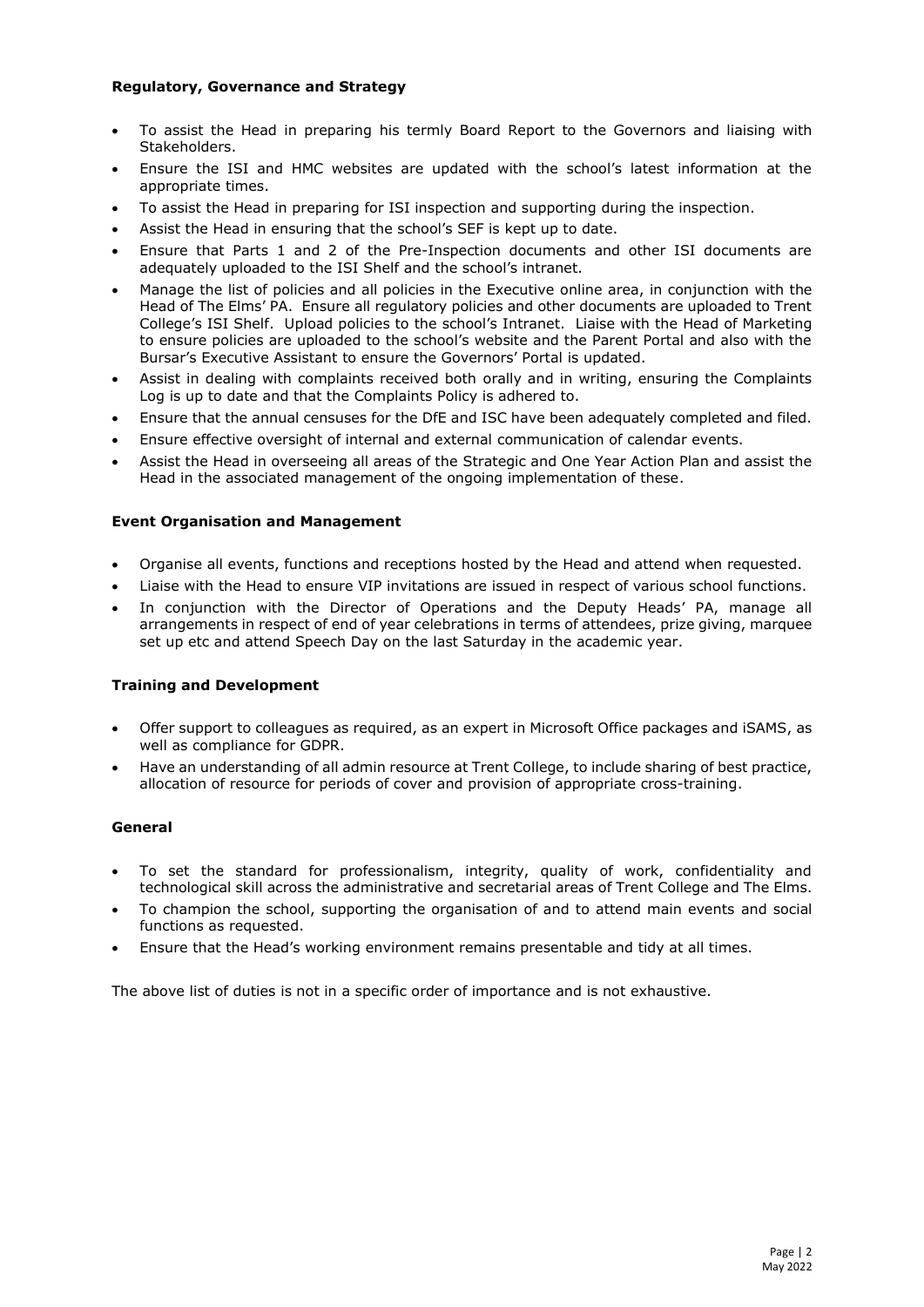### **Regulatory, Governance and Strategy**

- To assist the Head in preparing his termly Board Report to the Governors and liaising with Stakeholders.
- Ensure the ISI and HMC websites are updated with the school's latest information at the appropriate times.
- To assist the Head in preparing for ISI inspection and supporting during the inspection.
- Assist the Head in ensuring that the school's SEF is kept up to date.
- Ensure that Parts 1 and 2 of the Pre-Inspection documents and other ISI documents are adequately uploaded to the ISI Shelf and the school's intranet.
- Manage the list of policies and all policies in the Executive online area, in conjunction with the Head of The Elms' PA. Ensure all regulatory policies and other documents are uploaded to Trent College's ISI Shelf. Upload policies to the school's Intranet. Liaise with the Head of Marketing to ensure policies are uploaded to the school's website and the Parent Portal and also with the Bursar's Executive Assistant to ensure the Governors' Portal is updated.
- Assist in dealing with complaints received both orally and in writing, ensuring the Complaints Log is up to date and that the Complaints Policy is adhered to.
- Ensure that the annual censuses for the DfE and ISC have been adequately completed and filed.
- Ensure effective oversight of internal and external communication of calendar events.
- Assist the Head in overseeing all areas of the Strategic and One Year Action Plan and assist the Head in the associated management of the ongoing implementation of these.

### **Event Organisation and Management**

- Organise all events, functions and receptions hosted by the Head and attend when requested.
- Liaise with the Head to ensure VIP invitations are issued in respect of various school functions.
- In conjunction with the Director of Operations and the Deputy Heads' PA, manage all arrangements in respect of end of year celebrations in terms of attendees, prize giving, marquee set up etc and attend Speech Day on the last Saturday in the academic year.

## **Training and Development**

- Offer support to colleagues as required, as an expert in Microsoft Office packages and iSAMS, as well as compliance for GDPR.
- Have an understanding of all admin resource at Trent College, to include sharing of best practice, allocation of resource for periods of cover and provision of appropriate cross-training.

## **General**

- To set the standard for professionalism, integrity, quality of work, confidentiality and technological skill across the administrative and secretarial areas of Trent College and The Elms.
- To champion the school, supporting the organisation of and to attend main events and social functions as requested.
- Ensure that the Head's working environment remains presentable and tidy at all times.

The above list of duties is not in a specific order of importance and is not exhaustive.